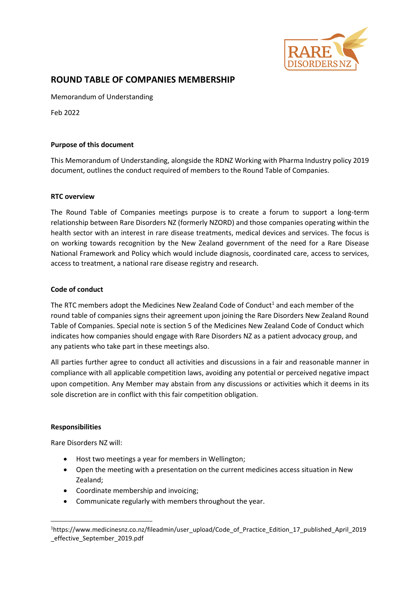

# **ROUND TABLE OF COMPANIES MEMBERSHIP**

Memorandum of Understanding

Feb 2022

### **Purpose of this document**

This Memorandum of Understanding, alongside the RDNZ Working with Pharma Industry policy 2019 document, outlines the conduct required of members to the Round Table of Companies.

### **RTC overview**

The Round Table of Companies meetings purpose is to create a forum to support a long-term relationship between Rare Disorders NZ (formerly NZORD) and those companies operating within the health sector with an interest in rare disease treatments, medical devices and services. The focus is on working towards recognition by the New Zealand government of the need for a Rare Disease National Framework and Policy which would include diagnosis, coordinated care, access to services, access to treatment, a national rare disease registry and research.

# **Code of conduct**

The RTC members adopt the Medicines New Zealand Code of Conduct<sup>1</sup> and each member of the round table of companies signs their agreement upon joining the Rare Disorders New Zealand Round Table of Companies. Special note is section 5 of the Medicines New Zealand Code of Conduct which indicates how companies should engage with Rare Disorders NZ as a patient advocacy group, and any patients who take part in these meetings also.

All parties further agree to conduct all activities and discussions in a fair and reasonable manner in compliance with all applicable competition laws, avoiding any potential or perceived negative impact upon competition. Any Member may abstain from any discussions or activities which it deems in its sole discretion are in conflict with this fair competition obligation.

### **Responsibilities**

Rare Disorders NZ will:

- Host two meetings a year for members in Wellington;
- Open the meeting with a presentation on the current medicines access situation in New Zealand;
- Coordinate membership and invoicing;
- Communicate regularly with members throughout the year.

<sup>1</sup>https://www.medicinesnz.co.nz/fileadmin/user\_upload/Code\_of\_Practice\_Edition\_17\_published\_April\_2019 \_effective\_September\_2019.pdf